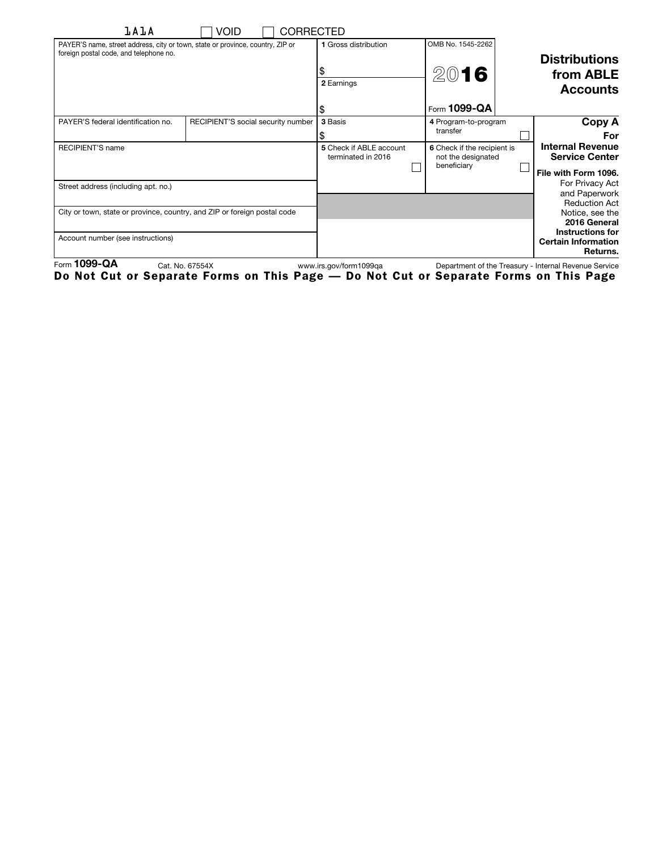| <b>lAlA</b>                                                                                                              | Void<br><b>CORRECTED</b>           |                                               |                                                                  |                                                                   |
|--------------------------------------------------------------------------------------------------------------------------|------------------------------------|-----------------------------------------------|------------------------------------------------------------------|-------------------------------------------------------------------|
| PAYER'S name, street address, city or town, state or province, country, ZIP or<br>foreign postal code, and telephone no. |                                    | 1 Gross distribution                          | OMB No. 1545-2262                                                | <b>Distributions</b>                                              |
|                                                                                                                          |                                    | 2 Earnings                                    | 2016                                                             | from ABLE<br><b>Accounts</b>                                      |
|                                                                                                                          |                                    | ъ                                             | Form 1099-QA                                                     |                                                                   |
| PAYER'S federal identification no.                                                                                       | RECIPIENT'S social security number | 3 Basis                                       | 4 Program-to-program<br>transfer                                 | Copy A<br>For                                                     |
| <b>RECIPIENT'S name</b>                                                                                                  |                                    | 5 Check if ABLE account<br>terminated in 2016 | 6 Check if the recipient is<br>not the designated<br>beneficiary | <b>Internal Revenue</b><br><b>Service Center</b>                  |
| Street address (including apt. no.)                                                                                      |                                    |                                               |                                                                  | File with Form 1096.<br>For Privacy Act<br>and Paperwork          |
| City or town, state or province, country, and ZIP or foreign postal code                                                 |                                    |                                               |                                                                  | <b>Reduction Act</b><br>Notice, see the<br>2016 General           |
| Account number (see instructions)<br>$\cdots$                                                                            |                                    |                                               |                                                                  | <b>Instructions for</b><br><b>Certain Information</b><br>Returns. |

Form 1099-QA Cat. No. 67554X www.irs.gov/form1099qa Department of the Treasury - Internal Revenue Service Do Not Cut or Separate Forms on This Page — Do Not Cut or Separate Forms on This Page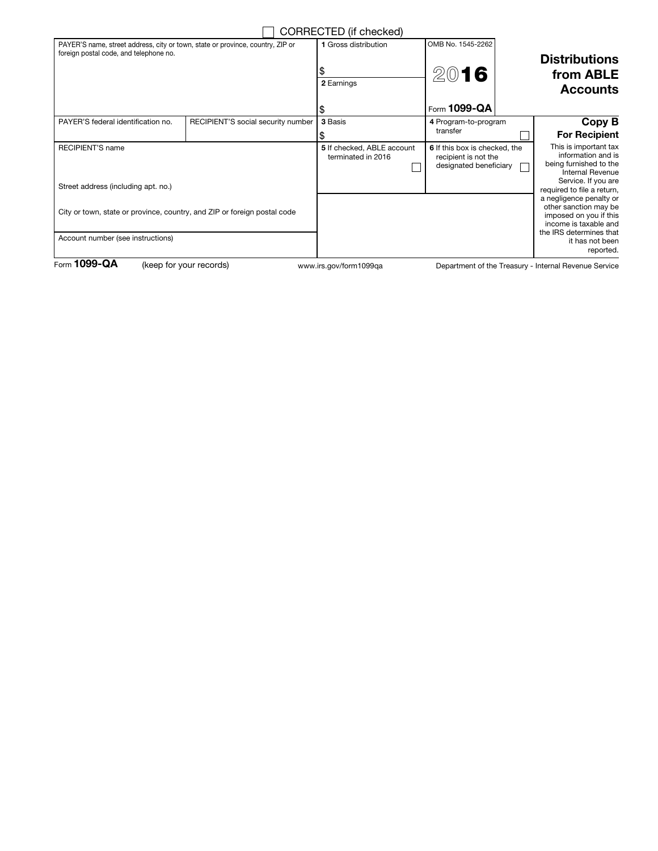|                                                                                                                          |                                    | CORRECTED (if checked)                           |                                                                                 |  |                                                                                                                                                       |
|--------------------------------------------------------------------------------------------------------------------------|------------------------------------|--------------------------------------------------|---------------------------------------------------------------------------------|--|-------------------------------------------------------------------------------------------------------------------------------------------------------|
| PAYER'S name, street address, city or town, state or province, country, ZIP or<br>foreign postal code, and telephone no. |                                    | 1 Gross distribution<br>2 Earnings               | OMB No. 1545-2262<br>2016                                                       |  | <b>Distributions</b><br>from ABLE<br><b>Accounts</b>                                                                                                  |
|                                                                                                                          |                                    |                                                  | Form 1099-QA                                                                    |  |                                                                                                                                                       |
| PAYER'S federal identification no.                                                                                       | RECIPIENT'S social security number | 3 Basis                                          | 4 Program-to-program<br>transfer                                                |  | Copy B<br><b>For Recipient</b>                                                                                                                        |
| <b>RECIPIENT'S name</b><br>Street address (including apt. no.)                                                           |                                    | 5 If checked, ABLE account<br>terminated in 2016 | 6 If this box is checked, the<br>recipient is not the<br>designated beneficiary |  | This is important tax<br>information and is<br>being furnished to the<br><b>Internal Revenue</b><br>Service. If you are<br>required to file a return, |
| City or town, state or province, country, and ZIP or foreign postal code                                                 |                                    |                                                  |                                                                                 |  | a negligence penalty or<br>other sanction may be<br>imposed on you if this<br>income is taxable and<br>the IRS determines that                        |
| Account number (see instructions)                                                                                        |                                    |                                                  |                                                                                 |  | it has not been<br>reported.                                                                                                                          |
| Form $1099 - QA$                                                                                                         | (keep for your records)            | www.irs.gov/form1099ga                           |                                                                                 |  | Department of the Treasury - Internal Revenue Service                                                                                                 |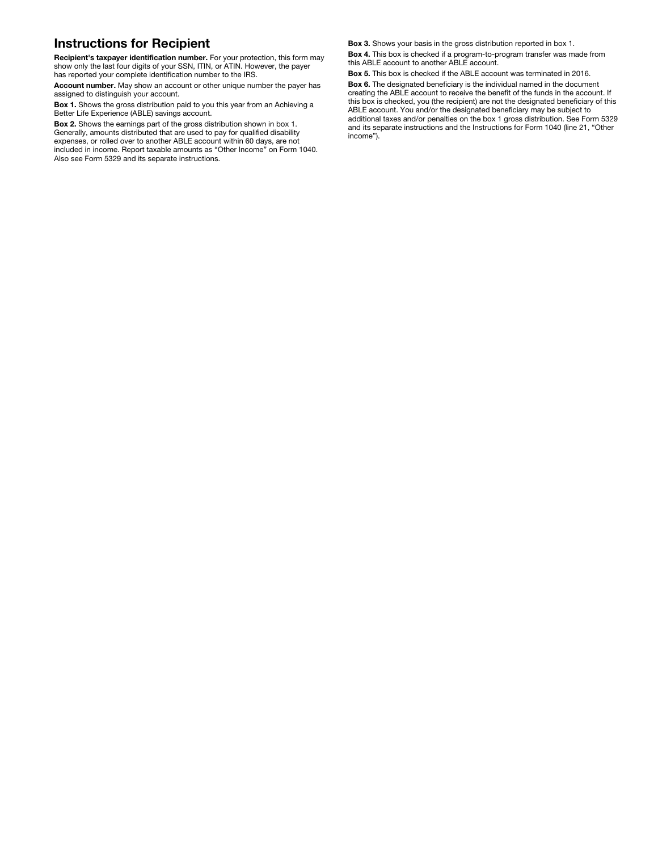## Instructions for Recipient

Recipient's taxpayer identification number. For your protection, this form may show only the last four digits of your SSN, ITIN, or ATIN. However, the payer has reported your complete identification number to the IRS.

Account number. May show an account or other unique number the payer has assigned to distinguish your account.

Box 1. Shows the gross distribution paid to you this year from an Achieving a Better Life Experience (ABLE) savings account.

Box 2. Shows the earnings part of the gross distribution shown in box 1. Generally, amounts distributed that are used to pay for qualified disability expenses, or rolled over to another ABLE account within 60 days, are not included in income. Report taxable amounts as "Other Income" on Form 1040. Also see Form 5329 and its separate instructions.

Box 3. Shows your basis in the gross distribution reported in box 1.

Box 4. This box is checked if a program-to-program transfer was made from this ABLE account to another ABLE account.

Box 5. This box is checked if the ABLE account was terminated in 2016.

Box 6. The designated beneficiary is the individual named in the document creating the ABLE account to receive the benefit of the funds in the account. If this box is checked, you (the recipient) are not the designated beneficiary of this ABLE account. You and/or the designated beneficiary may be subject to additional taxes and/or penalties on the box 1 gross distribution. See Form 5329 and its separate instructions and the Instructions for Form 1040 (line 21, "Other income").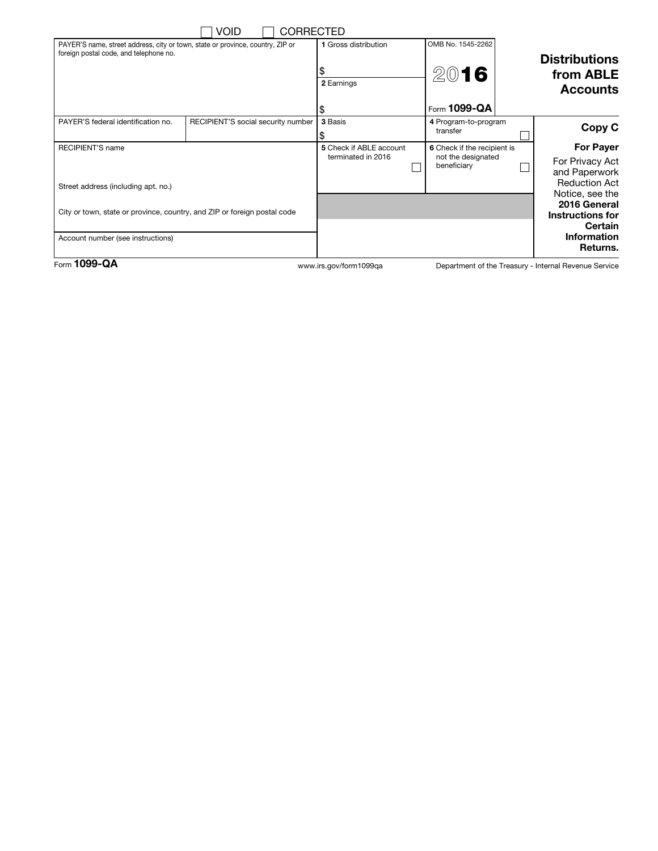|                                                                                | Void                               | <b>CORRECTED</b>        |                             |                                   |                                         |                                                       |
|--------------------------------------------------------------------------------|------------------------------------|-------------------------|-----------------------------|-----------------------------------|-----------------------------------------|-------------------------------------------------------|
| PAYER'S name, street address, city or town, state or province, country, ZIP or |                                    | 1 Gross distribution    | OMB No. 1545-2262           |                                   |                                         |                                                       |
| foreign postal code, and telephone no.                                         |                                    |                         |                             |                                   | <b>Distributions</b>                    |                                                       |
|                                                                                |                                    |                         |                             | 2016                              |                                         | from ABLE                                             |
|                                                                                |                                    |                         | 2 Earnings                  |                                   |                                         | <b>Accounts</b>                                       |
|                                                                                |                                    |                         |                             | Form 1099-QA                      |                                         |                                                       |
| PAYER'S federal identification no.                                             | RECIPIENT'S social security number |                         | 3 Basis                     | 4 Program-to-program              |                                         | Copy C                                                |
|                                                                                |                                    |                         |                             | transfer                          |                                         |                                                       |
| <b>RECIPIENT'S name</b>                                                        |                                    | 5 Check if ABLE account | 6 Check if the recipient is |                                   | <b>For Payer</b>                        |                                                       |
|                                                                                |                                    |                         | terminated in 2016          | not the designated<br>beneficiary |                                         | For Privacy Act                                       |
|                                                                                |                                    |                         |                             |                                   |                                         | and Paperwork                                         |
| Street address (including apt. no.)                                            |                                    |                         |                             |                                   | <b>Reduction Act</b><br>Notice, see the |                                                       |
|                                                                                |                                    |                         |                             |                                   |                                         | 2016 General                                          |
| City or town, state or province, country, and ZIP or foreign postal code       |                                    |                         |                             |                                   | <b>Instructions for</b>                 |                                                       |
|                                                                                |                                    |                         |                             |                                   |                                         | <b>Certain</b>                                        |
| Account number (see instructions)                                              |                                    |                         |                             |                                   |                                         | <b>Information</b>                                    |
|                                                                                |                                    |                         |                             |                                   |                                         | Returns.                                              |
| Form 1099-QA                                                                   |                                    |                         | www.irs.gov/form1099ga      |                                   |                                         | Department of the Treasury - Internal Revenue Service |